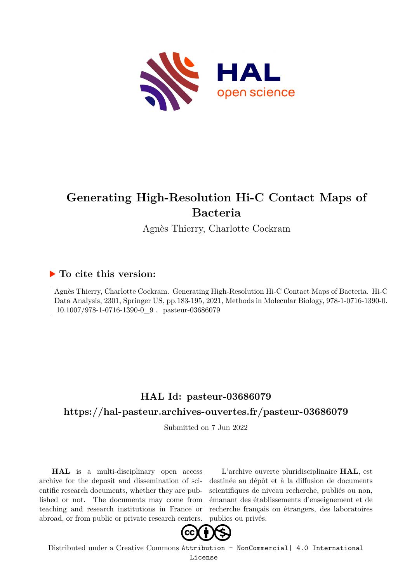

# **Generating High-Resolution Hi-C Contact Maps of Bacteria**

Agnès Thierry, Charlotte Cockram

# **To cite this version:**

Agnès Thierry, Charlotte Cockram. Generating High-Resolution Hi-C Contact Maps of Bacteria. Hi-C Data Analysis, 2301, Springer US, pp.183-195, 2021, Methods in Molecular Biology, 978-1-0716-1390-0.  $10.1007/978-1-0716-1390-0$  9. pasteur-03686079

# **HAL Id: pasteur-03686079 <https://hal-pasteur.archives-ouvertes.fr/pasteur-03686079>**

Submitted on 7 Jun 2022

**HAL** is a multi-disciplinary open access archive for the deposit and dissemination of scientific research documents, whether they are published or not. The documents may come from teaching and research institutions in France or abroad, or from public or private research centers.

L'archive ouverte pluridisciplinaire **HAL**, est destinée au dépôt et à la diffusion de documents scientifiques de niveau recherche, publiés ou non, émanant des établissements d'enseignement et de recherche français ou étrangers, des laboratoires publics ou privés.



Distributed under a Creative Commons [Attribution - NonCommercial| 4.0 International](http://creativecommons.org/licenses/by-nc/4.0/) [License](http://creativecommons.org/licenses/by-nc/4.0/)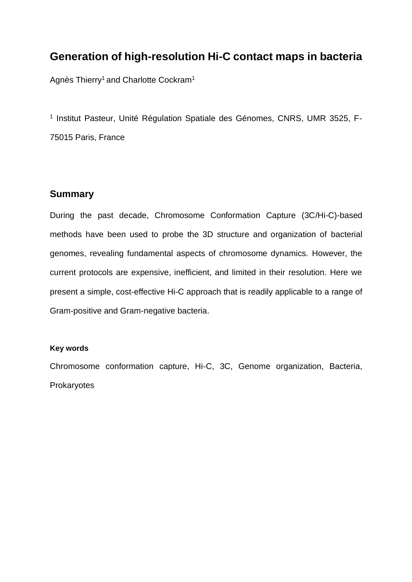# **Generation of high-resolution Hi-C contact maps in bacteria**

Agnès Thierry<sup>1</sup> and Charlotte Cockram<sup>1</sup>

<sup>1</sup> Institut Pasteur, Unité Régulation Spatiale des Génomes, CNRS, UMR 3525, F-75015 Paris, France

# **Summary**

During the past decade, Chromosome Conformation Capture (3C/Hi-C)-based methods have been used to probe the 3D structure and organization of bacterial genomes, revealing fundamental aspects of chromosome dynamics. However, the current protocols are expensive, inefficient, and limited in their resolution. Here we present a simple, cost-effective Hi-C approach that is readily applicable to a range of Gram-positive and Gram-negative bacteria.

### **Key words**

Chromosome conformation capture, Hi-C, 3C, Genome organization, Bacteria, **Prokaryotes**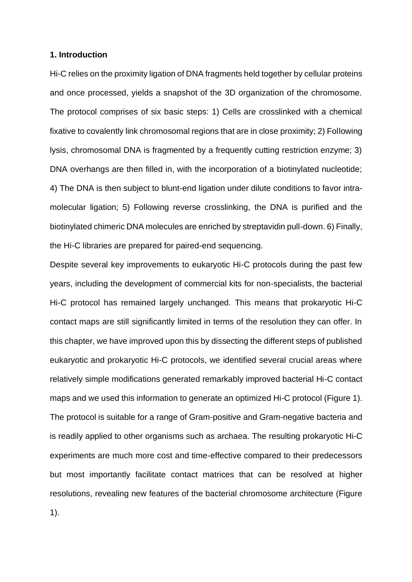#### **1. Introduction**

Hi-C relies on the proximity ligation of DNA fragments held together by cellular proteins and once processed, yields a snapshot of the 3D organization of the chromosome. The protocol comprises of six basic steps: 1) Cells are crosslinked with a chemical fixative to covalently link chromosomal regions that are in close proximity; 2) Following lysis, chromosomal DNA is fragmented by a frequently cutting restriction enzyme; 3) DNA overhangs are then filled in, with the incorporation of a biotinylated nucleotide; 4) The DNA is then subject to blunt-end ligation under dilute conditions to favor intramolecular ligation; 5) Following reverse crosslinking, the DNA is purified and the biotinylated chimeric DNA molecules are enriched by streptavidin pull-down. 6) Finally, the Hi-C libraries are prepared for paired-end sequencing.

Despite several key improvements to eukaryotic Hi-C protocols during the past few years, including the development of commercial kits for non-specialists, the bacterial Hi-C protocol has remained largely unchanged. This means that prokaryotic Hi-C contact maps are still significantly limited in terms of the resolution they can offer. In this chapter, we have improved upon this by dissecting the different steps of published eukaryotic and prokaryotic Hi-C protocols, we identified several crucial areas where relatively simple modifications generated remarkably improved bacterial Hi-C contact maps and we used this information to generate an optimized Hi-C protocol (Figure 1). The protocol is suitable for a range of Gram-positive and Gram-negative bacteria and is readily applied to other organisms such as archaea. The resulting prokaryotic Hi-C experiments are much more cost and time-effective compared to their predecessors but most importantly facilitate contact matrices that can be resolved at higher resolutions, revealing new features of the bacterial chromosome architecture (Figure 1).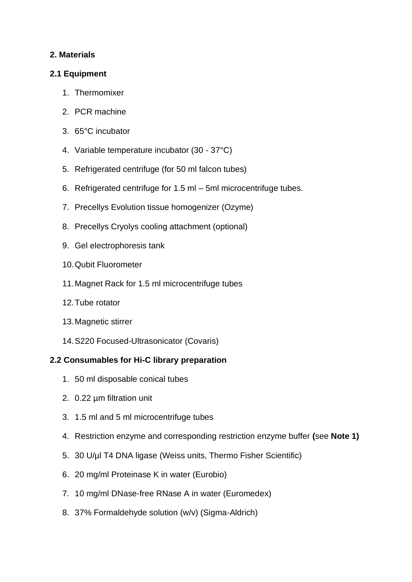# **2. Materials**

## **2.1 Equipment**

- 1. Thermomixer
- 2. PCR machine
- 3. 65°C incubator
- 4. Variable temperature incubator (30 37°C)
- 5. Refrigerated centrifuge (for 50 ml falcon tubes)
- 6. Refrigerated centrifuge for 1.5 ml 5ml microcentrifuge tubes.
- 7. Precellys Evolution tissue homogenizer (Ozyme)
- 8. Precellys Cryolys cooling attachment (optional)
- 9. Gel electrophoresis tank
- 10.Qubit Fluorometer
- 11.Magnet Rack for 1.5 ml microcentrifuge tubes
- 12.Tube rotator
- 13.Magnetic stirrer
- 14.S220 Focused-Ultrasonicator (Covaris)

# **2.2 Consumables for Hi-C library preparation**

- 1. 50 ml disposable conical tubes
- 2. 0.22 µm filtration unit
- 3. 1.5 ml and 5 ml microcentrifuge tubes
- 4. Restriction enzyme and corresponding restriction enzyme buffer **(**see **Note 1)**
- 5. 30 U/µl T4 DNA ligase (Weiss units, Thermo Fisher Scientific)
- 6. 20 mg/ml Proteinase K in water (Eurobio)
- 7. 10 mg/ml DNase-free RNase A in water (Euromedex)
- 8. 37% Formaldehyde solution (w/v) (Sigma-Aldrich)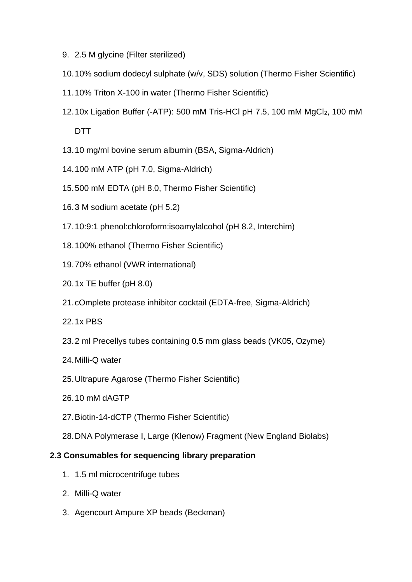- 9. 2.5 M glycine (Filter sterilized)
- 10.10% sodium dodecyl sulphate (w/v, SDS) solution (Thermo Fisher Scientific)
- 11.10% Triton X-100 in water (Thermo Fisher Scientific)
- 12.10x Ligation Buffer (-ATP): 500 mM Tris-HCl pH 7.5, 100 mM MgCl2, 100 mM DTT
- 13.10 mg/ml bovine serum albumin (BSA, Sigma-Aldrich)
- 14.100 mM ATP (pH 7.0, Sigma-Aldrich)
- 15.500 mM EDTA (pH 8.0, Thermo Fisher Scientific)
- 16.3 M sodium acetate (pH 5.2)
- 17.10:9:1 phenol:chloroform:isoamylalcohol (pH 8.2, Interchim)
- 18.100% ethanol (Thermo Fisher Scientific)
- 19.70% ethanol (VWR international)
- 20.1x TE buffer (pH 8.0)
- 21.cOmplete protease inhibitor cocktail (EDTA-free, Sigma-Aldrich)
- 22.1x PBS
- 23.2 ml Precellys tubes containing 0.5 mm glass beads (VK05, Ozyme)
- 24.Milli-Q water
- 25.Ultrapure Agarose (Thermo Fisher Scientific)
- 26.10 mM dAGTP
- 27.Biotin-14-dCTP (Thermo Fisher Scientific)
- 28.DNA Polymerase I, Large (Klenow) Fragment (New England Biolabs)

### **2.3 Consumables for sequencing library preparation**

- 1. 1.5 ml microcentrifuge tubes
- 2. Milli-Q water
- 3. Agencourt Ampure XP beads (Beckman)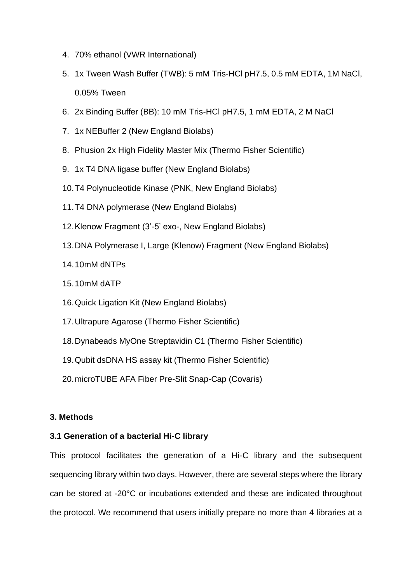- 4. 70% ethanol (VWR International)
- 5. 1x Tween Wash Buffer (TWB): 5 mM Tris-HCl pH7.5, 0.5 mM EDTA, 1M NaCl, 0.05% Tween
- 6. 2x Binding Buffer (BB): 10 mM Tris-HCl pH7.5, 1 mM EDTA, 2 M NaCl
- 7. 1x NEBuffer 2 (New England Biolabs)
- 8. Phusion 2x High Fidelity Master Mix (Thermo Fisher Scientific)
- 9. 1x T4 DNA ligase buffer (New England Biolabs)
- 10.T4 Polynucleotide Kinase (PNK, New England Biolabs)
- 11.T4 DNA polymerase (New England Biolabs)
- 12.Klenow Fragment (3'-5' exo-, New England Biolabs)
- 13.DNA Polymerase I, Large (Klenow) Fragment (New England Biolabs)
- 14.10mM dNTPs
- 15.10mM dATP
- 16.Quick Ligation Kit (New England Biolabs)
- 17.Ultrapure Agarose (Thermo Fisher Scientific)
- 18.Dynabeads MyOne Streptavidin C1 (Thermo Fisher Scientific)
- 19.Qubit dsDNA HS assay kit (Thermo Fisher Scientific)
- 20.microTUBE AFA Fiber Pre-Slit Snap-Cap (Covaris)

### **3. Methods**

### **3.1 Generation of a bacterial Hi-C library**

This protocol facilitates the generation of a Hi-C library and the subsequent sequencing library within two days. However, there are several steps where the library can be stored at -20°C or incubations extended and these are indicated throughout the protocol. We recommend that users initially prepare no more than 4 libraries at a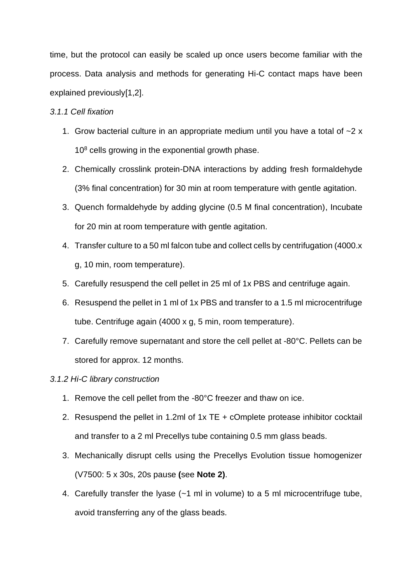time, but the protocol can easily be scaled up once users become familiar with the process. Data analysis and methods for generating Hi-C contact maps have been explained previously[1,2].

#### *3.1.1 Cell fixation*

- 1. Grow bacterial culture in an appropriate medium until you have a total of  $\sim$ 2 x  $10<sup>8</sup>$  cells growing in the exponential growth phase.
- 2. Chemically crosslink protein-DNA interactions by adding fresh formaldehyde (3% final concentration) for 30 min at room temperature with gentle agitation.
- 3. Quench formaldehyde by adding glycine (0.5 M final concentration), Incubate for 20 min at room temperature with gentle agitation.
- 4. Transfer culture to a 50 ml falcon tube and collect cells by centrifugation (4000.x g, 10 min, room temperature).
- 5. Carefully resuspend the cell pellet in 25 ml of 1x PBS and centrifuge again.
- 6. Resuspend the pellet in 1 ml of 1x PBS and transfer to a 1.5 ml microcentrifuge tube. Centrifuge again (4000 x g, 5 min, room temperature).
- 7. Carefully remove supernatant and store the cell pellet at -80°C. Pellets can be stored for approx. 12 months.

#### *3.1.2 Hi-C library construction*

- 1. Remove the cell pellet from the -80°C freezer and thaw on ice.
- 2. Resuspend the pellet in 1.2ml of 1x TE + cOmplete protease inhibitor cocktail and transfer to a 2 ml Precellys tube containing 0.5 mm glass beads.
- 3. Mechanically disrupt cells using the Precellys Evolution tissue homogenizer (V7500: 5 x 30s, 20s pause **(**see **Note 2)**.
- 4. Carefully transfer the lyase (~1 ml in volume) to a 5 ml microcentrifuge tube, avoid transferring any of the glass beads.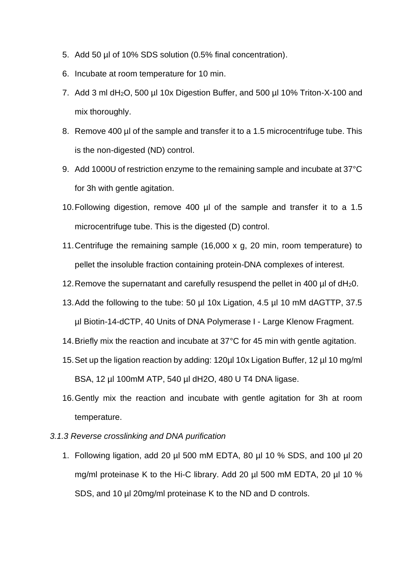- 5. Add 50 µl of 10% SDS solution (0.5% final concentration).
- 6. Incubate at room temperature for 10 min.
- 7. Add 3 ml dH2O, 500 µl 10x Digestion Buffer, and 500 µl 10% Triton-X-100 and mix thoroughly.
- 8. Remove 400 µl of the sample and transfer it to a 1.5 microcentrifuge tube. This is the non-digested (ND) control.
- 9. Add 1000U of restriction enzyme to the remaining sample and incubate at 37°C for 3h with gentle agitation.
- 10.Following digestion, remove 400 µl of the sample and transfer it to a 1.5 microcentrifuge tube. This is the digested (D) control.
- 11.Centrifuge the remaining sample (16,000 x g, 20 min, room temperature) to pellet the insoluble fraction containing protein-DNA complexes of interest.
- 12.Remove the supernatant and carefully resuspend the pellet in 400 µl of dH20.
- 13.Add the following to the tube: 50 µl 10x Ligation, 4.5 µl 10 mM dAGTTP, 37.5 µl Biotin-14-dCTP, 40 Units of DNA Polymerase I - Large Klenow Fragment.
- 14.Briefly mix the reaction and incubate at 37°C for 45 min with gentle agitation.
- 15.Set up the ligation reaction by adding: 120µl 10x Ligation Buffer, 12 µl 10 mg/ml BSA, 12 µl 100mM ATP, 540 µl dH2O, 480 U T4 DNA ligase.
- 16.Gently mix the reaction and incubate with gentle agitation for 3h at room temperature.
- *3.1.3 Reverse crosslinking and DNA purification*
	- 1. Following ligation, add 20 µl 500 mM EDTA, 80 µl 10 % SDS, and 100 µl 20 mg/ml proteinase K to the Hi-C library. Add 20 µl 500 mM EDTA, 20 µl 10 % SDS, and 10 µl 20mg/ml proteinase K to the ND and D controls.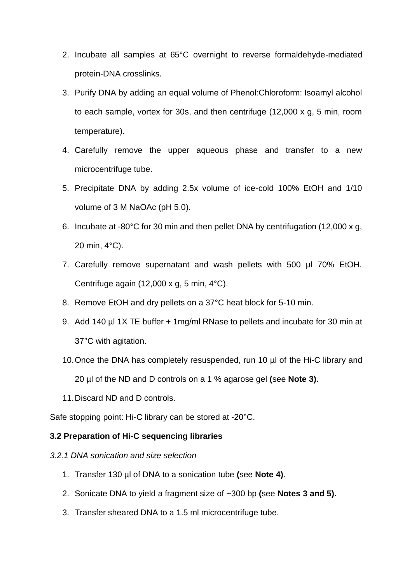- 2. Incubate all samples at 65°C overnight to reverse formaldehyde-mediated protein-DNA crosslinks.
- 3. Purify DNA by adding an equal volume of Phenol:Chloroform: Isoamyl alcohol to each sample, vortex for 30s, and then centrifuge (12,000 x g, 5 min, room temperature).
- 4. Carefully remove the upper aqueous phase and transfer to a new microcentrifuge tube.
- 5. Precipitate DNA by adding 2.5x volume of ice-cold 100% EtOH and 1/10 volume of 3 M NaOAc (pH 5.0).
- 6. Incubate at -80°C for 30 min and then pellet DNA by centrifugation (12,000 x g, 20 min, 4°C).
- 7. Carefully remove supernatant and wash pellets with 500 µl 70% EtOH. Centrifuge again (12,000 x g, 5 min, 4°C).
- 8. Remove EtOH and dry pellets on a 37°C heat block for 5-10 min.
- 9. Add 140 µl 1X TE buffer + 1mg/ml RNase to pellets and incubate for 30 min at 37°C with agitation.
- 10.Once the DNA has completely resuspended, run 10 µl of the Hi-C library and 20 µl of the ND and D controls on a 1 % agarose gel **(**see **Note 3)**.
- 11.Discard ND and D controls.

Safe stopping point: Hi-C library can be stored at -20°C.

### **3.2 Preparation of Hi-C sequencing libraries**

- *3.2.1 DNA sonication and size selection*
	- 1. Transfer 130 µl of DNA to a sonication tube **(**see **Note 4)**.
	- 2. Sonicate DNA to yield a fragment size of ~300 bp **(**see **Notes 3 and 5).**
	- 3. Transfer sheared DNA to a 1.5 ml microcentrifuge tube.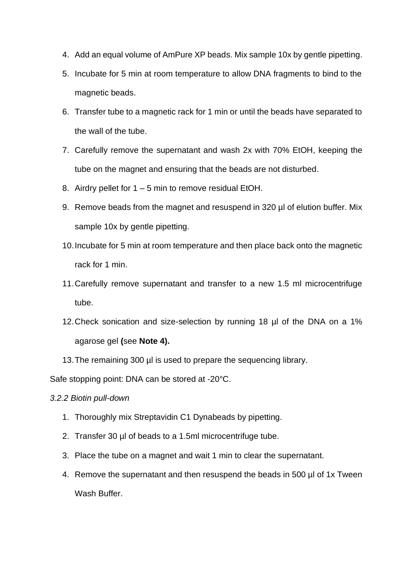- 4. Add an equal volume of AmPure XP beads. Mix sample 10x by gentle pipetting.
- 5. Incubate for 5 min at room temperature to allow DNA fragments to bind to the magnetic beads.
- 6. Transfer tube to a magnetic rack for 1 min or until the beads have separated to the wall of the tube.
- 7. Carefully remove the supernatant and wash 2x with 70% EtOH, keeping the tube on the magnet and ensuring that the beads are not disturbed.
- 8. Airdry pellet for 1 5 min to remove residual EtOH.
- 9. Remove beads from the magnet and resuspend in 320 µl of elution buffer. Mix sample 10x by gentle pipetting.
- 10.Incubate for 5 min at room temperature and then place back onto the magnetic rack for 1 min.
- 11.Carefully remove supernatant and transfer to a new 1.5 ml microcentrifuge tube.
- 12.Check sonication and size-selection by running 18 µl of the DNA on a 1% agarose gel **(**see **Note 4).**
- 13. The remaining 300 µl is used to prepare the sequencing library.

Safe stopping point: DNA can be stored at -20°C.

*3.2.2 Biotin pull-down*

- 1. Thoroughly mix Streptavidin C1 Dynabeads by pipetting.
- 2. Transfer 30 ul of beads to a 1.5ml microcentrifuge tube.
- 3. Place the tube on a magnet and wait 1 min to clear the supernatant.
- 4. Remove the supernatant and then resuspend the beads in 500 µl of 1x Tween Wash Buffer.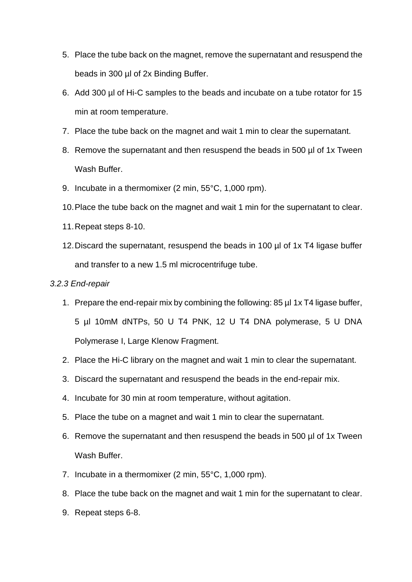- 5. Place the tube back on the magnet, remove the supernatant and resuspend the beads in 300 µl of 2x Binding Buffer.
- 6. Add 300 µl of Hi-C samples to the beads and incubate on a tube rotator for 15 min at room temperature.
- 7. Place the tube back on the magnet and wait 1 min to clear the supernatant.
- 8. Remove the supernatant and then resuspend the beads in 500 µl of 1x Tween Wash Buffer.
- 9. Incubate in a thermomixer (2 min, 55°C, 1,000 rpm).
- 10.Place the tube back on the magnet and wait 1 min for the supernatant to clear.
- 11.Repeat steps 8-10.
- 12.Discard the supernatant, resuspend the beads in 100 µl of 1x T4 ligase buffer and transfer to a new 1.5 ml microcentrifuge tube.

#### *3.2.3 End-repair*

- 1. Prepare the end-repair mix by combining the following: 85 µl 1x T4 ligase buffer, 5 µl 10mM dNTPs, 50 U T4 PNK, 12 U T4 DNA polymerase, 5 U DNA Polymerase I, Large Klenow Fragment.
- 2. Place the Hi-C library on the magnet and wait 1 min to clear the supernatant.
- 3. Discard the supernatant and resuspend the beads in the end-repair mix.
- 4. Incubate for 30 min at room temperature, without agitation.
- 5. Place the tube on a magnet and wait 1 min to clear the supernatant.
- 6. Remove the supernatant and then resuspend the beads in 500 µl of 1x Tween Wash Buffer.
- 7. Incubate in a thermomixer (2 min, 55°C, 1,000 rpm).
- 8. Place the tube back on the magnet and wait 1 min for the supernatant to clear.
- 9. Repeat steps 6-8.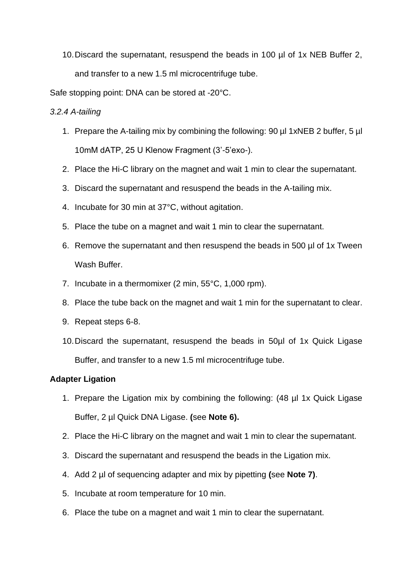10.Discard the supernatant, resuspend the beads in 100 µl of 1x NEB Buffer 2, and transfer to a new 1.5 ml microcentrifuge tube.

Safe stopping point: DNA can be stored at -20°C.

## *3.2.4 A-tailing*

- 1. Prepare the A-tailing mix by combining the following: 90 µl 1xNEB 2 buffer, 5 µl 10mM dATP, 25 U Klenow Fragment (3'-5'exo-).
- 2. Place the Hi-C library on the magnet and wait 1 min to clear the supernatant.
- 3. Discard the supernatant and resuspend the beads in the A-tailing mix.
- 4. Incubate for 30 min at 37°C, without agitation.
- 5. Place the tube on a magnet and wait 1 min to clear the supernatant.
- 6. Remove the supernatant and then resuspend the beads in 500 µl of 1x Tween Wash Buffer.
- 7. Incubate in a thermomixer (2 min, 55°C, 1,000 rpm).
- 8. Place the tube back on the magnet and wait 1 min for the supernatant to clear.
- 9. Repeat steps 6-8.
- 10.Discard the supernatant, resuspend the beads in 50µl of 1x Quick Ligase Buffer, and transfer to a new 1.5 ml microcentrifuge tube.

### **Adapter Ligation**

- 1. Prepare the Ligation mix by combining the following: (48 µl 1x Quick Ligase Buffer, 2 µl Quick DNA Ligase. **(**see **Note 6).**
- 2. Place the Hi-C library on the magnet and wait 1 min to clear the supernatant.
- 3. Discard the supernatant and resuspend the beads in the Ligation mix.
- 4. Add 2 µl of sequencing adapter and mix by pipetting **(**see **Note 7)**.
- 5. Incubate at room temperature for 10 min.
- 6. Place the tube on a magnet and wait 1 min to clear the supernatant.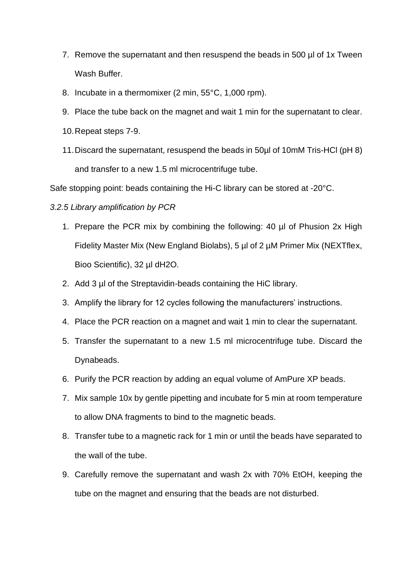- 7. Remove the supernatant and then resuspend the beads in 500 µl of 1x Tween Wash Buffer.
- 8. Incubate in a thermomixer (2 min, 55°C, 1,000 rpm).
- 9. Place the tube back on the magnet and wait 1 min for the supernatant to clear.
- 10.Repeat steps 7-9.
- 11.Discard the supernatant, resuspend the beads in 50µl of 10mM Tris-HCl (pH 8) and transfer to a new 1.5 ml microcentrifuge tube.

Safe stopping point: beads containing the Hi-C library can be stored at -20°C.

#### *3.2.5 Library amplification by PCR*

- 1. Prepare the PCR mix by combining the following: 40 µl of Phusion 2x High Fidelity Master Mix (New England Biolabs), 5 µl of 2 µM Primer Mix (NEXTflex, Bioo Scientific), 32 µl dH2O.
- 2. Add 3 µl of the Streptavidin-beads containing the HiC library.
- 3. Amplify the library for 12 cycles following the manufacturers' instructions.
- 4. Place the PCR reaction on a magnet and wait 1 min to clear the supernatant.
- 5. Transfer the supernatant to a new 1.5 ml microcentrifuge tube. Discard the Dynabeads.
- 6. Purify the PCR reaction by adding an equal volume of AmPure XP beads.
- 7. Mix sample 10x by gentle pipetting and incubate for 5 min at room temperature to allow DNA fragments to bind to the magnetic beads.
- 8. Transfer tube to a magnetic rack for 1 min or until the beads have separated to the wall of the tube.
- 9. Carefully remove the supernatant and wash 2x with 70% EtOH, keeping the tube on the magnet and ensuring that the beads are not disturbed.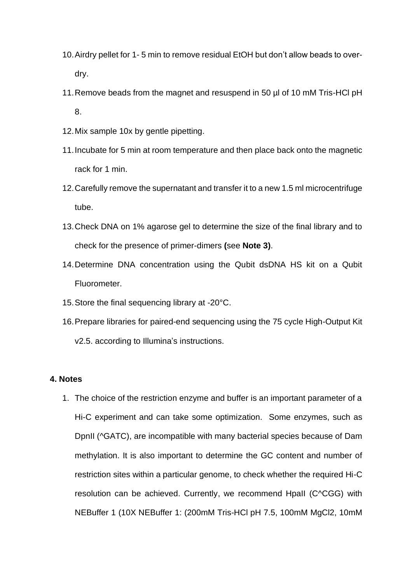- 10.Airdry pellet for 1- 5 min to remove residual EtOH but don't allow beads to overdry.
- 11.Remove beads from the magnet and resuspend in 50 µl of 10 mM Tris-HCl pH 8.
- 12.Mix sample 10x by gentle pipetting.
- 11.Incubate for 5 min at room temperature and then place back onto the magnetic rack for 1 min.
- 12.Carefully remove the supernatant and transfer it to a new 1.5 ml microcentrifuge tube.
- 13.Check DNA on 1% agarose gel to determine the size of the final library and to check for the presence of primer-dimers **(**see **Note 3)**.
- 14.Determine DNA concentration using the Qubit dsDNA HS kit on a Qubit Fluorometer.
- 15.Store the final sequencing library at -20°C.
- 16.Prepare libraries for paired-end sequencing using the 75 cycle High-Output Kit v2.5. according to Illumina's instructions.

#### **4. Notes**

1. The choice of the restriction enzyme and buffer is an important parameter of a Hi-C experiment and can take some optimization. Some enzymes, such as DpnII (^GATC), are incompatible with many bacterial species because of Dam methylation. It is also important to determine the GC content and number of restriction sites within a particular genome, to check whether the required Hi-C resolution can be achieved. Currently, we recommend HpaII (C^CGG) with NEBuffer 1 (10X NEBuffer 1: (200mM Tris-HCl pH 7.5, 100mM MgCl2, 10mM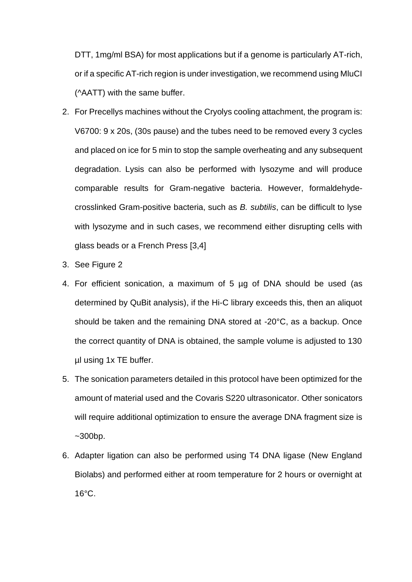DTT, 1mg/ml BSA) for most applications but if a genome is particularly AT-rich, or if a specific AT-rich region is under investigation, we recommend using MluCI (^AATT) with the same buffer.

- 2. For Precellys machines without the Cryolys cooling attachment, the program is: V6700: 9 x 20s, (30s pause) and the tubes need to be removed every 3 cycles and placed on ice for 5 min to stop the sample overheating and any subsequent degradation. Lysis can also be performed with lysozyme and will produce comparable results for Gram-negative bacteria. However, formaldehydecrosslinked Gram-positive bacteria, such as *B. subtilis*, can be difficult to lyse with lysozyme and in such cases, we recommend either disrupting cells with glass beads or a French Press [3,4]
- 3. See Figure 2
- 4. For efficient sonication, a maximum of 5 µg of DNA should be used (as determined by QuBit analysis), if the Hi-C library exceeds this, then an aliquot should be taken and the remaining DNA stored at -20°C, as a backup. Once the correct quantity of DNA is obtained, the sample volume is adjusted to 130 µl using 1x TE buffer.
- 5. The sonication parameters detailed in this protocol have been optimized for the amount of material used and the Covaris S220 ultrasonicator. Other sonicators will require additional optimization to ensure the average DNA fragment size is  $~1$  -300 bp.
- 6. Adapter ligation can also be performed using T4 DNA ligase (New England Biolabs) and performed either at room temperature for 2 hours or overnight at 16°C.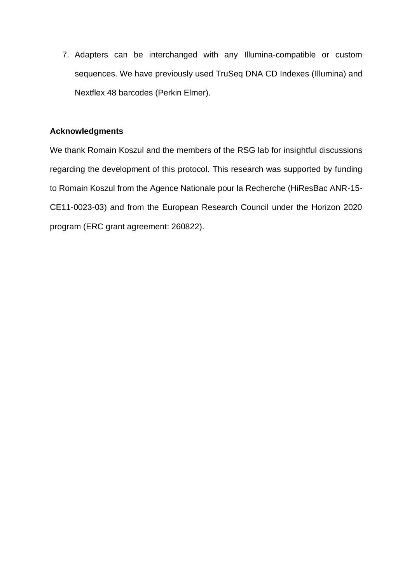7. Adapters can be interchanged with any Illumina-compatible or custom sequences. We have previously used TruSeq DNA CD Indexes (Illumina) and Nextflex 48 barcodes (Perkin Elmer).

#### **Acknowledgments**

We thank Romain Koszul and the members of the RSG lab for insightful discussions regarding the development of this protocol. This research was supported by funding to Romain Koszul from the Agence Nationale pour la Recherche (HiResBac ANR-15- CE11-0023-03) and from the European Research Council under the Horizon 2020 program (ERC grant agreement: 260822).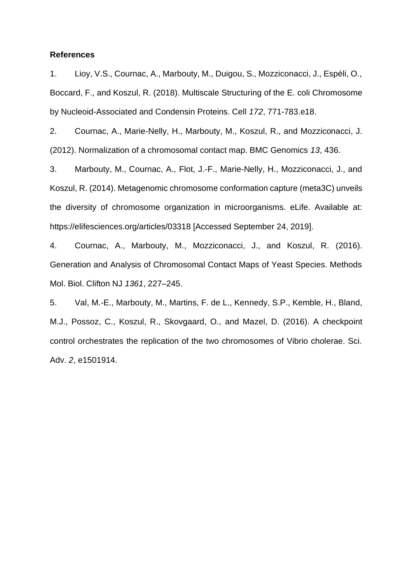#### **References**

1. Lioy, V.S., Cournac, A., Marbouty, M., Duigou, S., Mozziconacci, J., Espéli, O., Boccard, F., and Koszul, R. (2018). Multiscale Structuring of the E. coli Chromosome by Nucleoid-Associated and Condensin Proteins. Cell *172*, 771-783.e18.

2. Cournac, A., Marie-Nelly, H., Marbouty, M., Koszul, R., and Mozziconacci, J. (2012). Normalization of a chromosomal contact map. BMC Genomics *13*, 436.

3. Marbouty, M., Cournac, A., Flot, J.-F., Marie-Nelly, H., Mozziconacci, J., and Koszul, R. (2014). Metagenomic chromosome conformation capture (meta3C) unveils the diversity of chromosome organization in microorganisms. eLife. Available at: https://elifesciences.org/articles/03318 [Accessed September 24, 2019].

4. Cournac, A., Marbouty, M., Mozziconacci, J., and Koszul, R. (2016). Generation and Analysis of Chromosomal Contact Maps of Yeast Species. Methods Mol. Biol. Clifton NJ *1361*, 227–245.

5. Val, M.-E., Marbouty, M., Martins, F. de L., Kennedy, S.P., Kemble, H., Bland, M.J., Possoz, C., Koszul, R., Skovgaard, O., and Mazel, D. (2016). A checkpoint control orchestrates the replication of the two chromosomes of Vibrio cholerae. Sci. Adv. *2*, e1501914.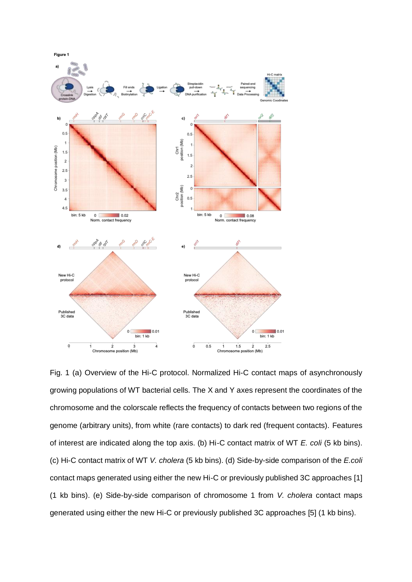

Fig. 1 (a) Overview of the Hi-C protocol. Normalized Hi-C contact maps of asynchronously growing populations of WT bacterial cells*.* The X and Y axes represent the coordinates of the chromosome and the colorscale reflects the frequency of contacts between two regions of the genome (arbitrary units), from white (rare contacts) to dark red (frequent contacts). Features of interest are indicated along the top axis. (b) Hi-C contact matrix of WT *E. coli* (5 kb bins). (c) Hi-C contact matrix of WT *V. cholera* (5 kb bins). (d) Side-by-side comparison of the *E.coli* contact maps generated using either the new Hi-C or previously published 3C approaches [1] (1 kb bins). (e) Side-by-side comparison of chromosome 1 from *V. cholera* contact maps generated using either the new Hi-C or previously published 3C approaches [5] (1 kb bins).